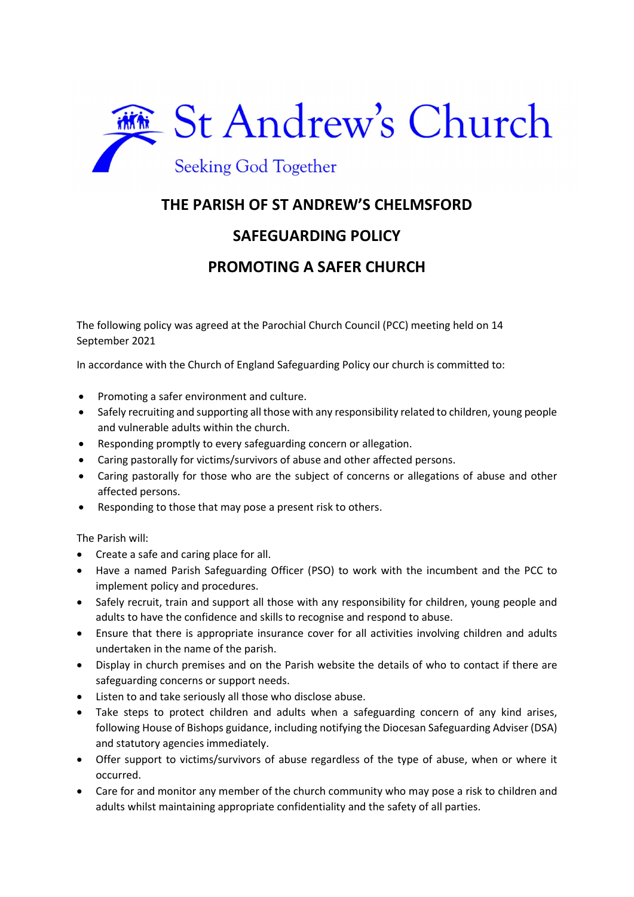

## THE PARISH OF ST ANDREW'S CHELMSFORD

## SAFEGUARDING POLICY

## PROMOTING A SAFER CHURCH

The following policy was agreed at the Parochial Church Council (PCC) meeting held on 14 September 2021

In accordance with the Church of England Safeguarding Policy our church is committed to:

- Promoting a safer environment and culture.
- Safely recruiting and supporting all those with any responsibility related to children, young people and vulnerable adults within the church.
- Responding promptly to every safeguarding concern or allegation.
- Caring pastorally for victims/survivors of abuse and other affected persons.
- Caring pastorally for those who are the subject of concerns or allegations of abuse and other affected persons.
- Responding to those that may pose a present risk to others.

The Parish will:

- Create a safe and caring place for all.
- Have a named Parish Safeguarding Officer (PSO) to work with the incumbent and the PCC to implement policy and procedures.
- Safely recruit, train and support all those with any responsibility for children, young people and adults to have the confidence and skills to recognise and respond to abuse.
- Ensure that there is appropriate insurance cover for all activities involving children and adults undertaken in the name of the parish.
- Display in church premises and on the Parish website the details of who to contact if there are safeguarding concerns or support needs.
- Listen to and take seriously all those who disclose abuse.
- Take steps to protect children and adults when a safeguarding concern of any kind arises, following House of Bishops guidance, including notifying the Diocesan Safeguarding Adviser (DSA) and statutory agencies immediately.
- Offer support to victims/survivors of abuse regardless of the type of abuse, when or where it occurred.
- Care for and monitor any member of the church community who may pose a risk to children and adults whilst maintaining appropriate confidentiality and the safety of all parties.